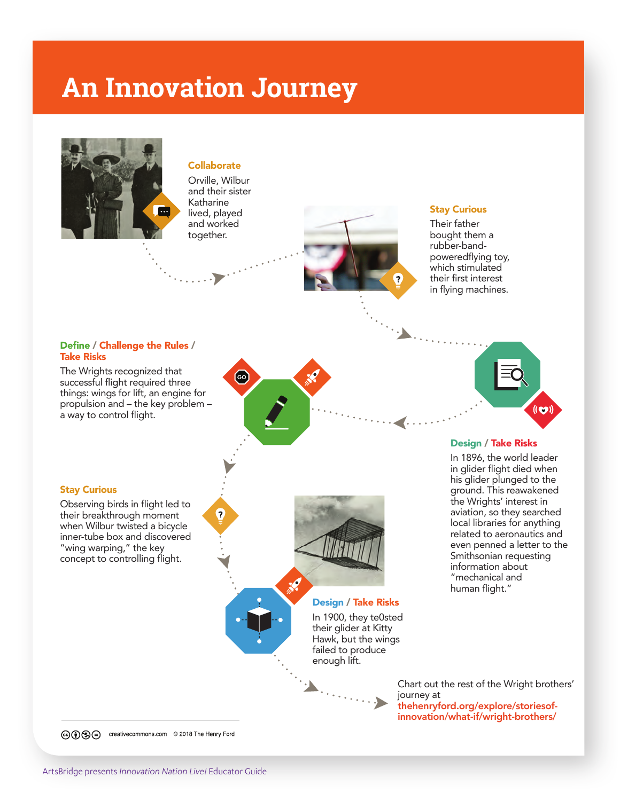# **An Innovation Journey**



#### **Collaborate**

Orville, Wilbur and their sister Katharine lived, played and worked together.

Q



# Stay Curious

Their father bought them a rubber-bandpoweredflying toy, which stimulated their first interest in flying machines.

### Define / Challenge the Rules / Take Risks

The Wrights recognized that successful flight required three things: wings for lift, an engine for propulsion and – the key problem – a way to control flight.



#### Stay Curious

Observing birds in flight led to their breakthrough moment when Wilbur twisted a bicycle inner-tube box and discovered "wing warping," the key concept to controlling flight.





Design / Take Risks In 1900, they te0sted their glider at Kitty Hawk, but the wings failed to produce

#### Design / Take Risks

In 1896, the world leader in glider flight died when his glider plunged to the ground. This reawakened the Wrights' interest in aviation, so they searched local libraries for anything related to aeronautics and even penned a letter to the Smithsonian requesting information about "mechanical and human flight."

enough lift.

Chart out the rest of the Wright brothers' journey at thehenryford.org/explore/storiesofinnovation/what-if/wright-brothers/

co o Se creativecommons.com © 2018 The Henry Ford